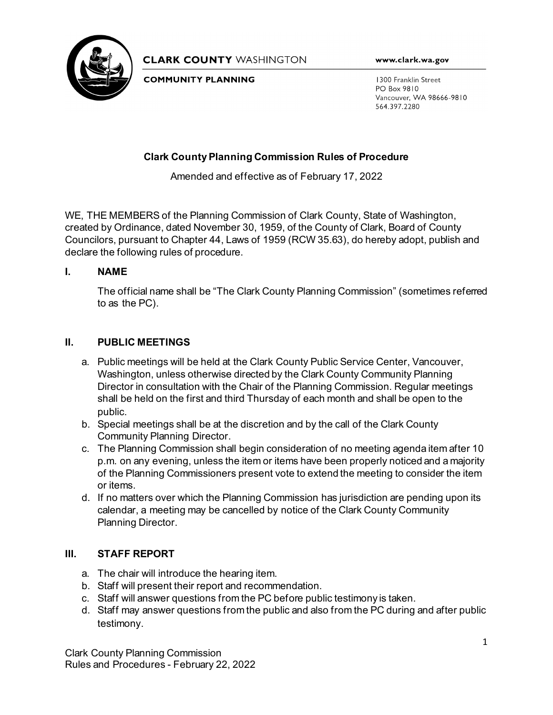

**CLARK COUNTY WASHINGTON** 

**COMMUNITY PLANNING** 

www.clark.wa.gov

1300 Franklin Street PO Box 9810 Vancouver, WA 98666-9810 564.397.2280

# **Clark County Planning Commission Rules of Procedure**

Amended and effective as of February 17, 2022

WE, THE MEMBERS of the Planning Commission of Clark County, State of Washington, created by Ordinance, dated November 30, 1959, of the County of Clark, Board of County Councilors, pursuant to Chapter 44, Laws of 1959 (RCW 35.63), do hereby adopt, publish and declare the following rules of procedure.

### **I. NAME**

The official name shall be "The Clark County Planning Commission" (sometimes referred to as the PC).

# **II. PUBLIC MEETINGS**

- a. Public meetings will be held at the Clark County Public Service Center, Vancouver, Washington, unless otherwise directed by the Clark County Community Planning Director in consultation with the Chair of the Planning Commission. Regular meetings shall be held on the first and third Thursday of each month and shall be open to the public.
- b. Special meetings shall be at the discretion and by the call of the Clark County Community Planning Director.
- c. The Planning Commission shall begin consideration of no meeting agenda item after 10 p.m. on any evening, unless the item or items have been properly noticed and a majority of the Planning Commissioners present vote to extend the meeting to consider the item or items.
- d. If no matters over which the Planning Commission has jurisdiction are pending upon its calendar, a meeting may be cancelled by notice of the Clark County Community Planning Director.

# **III. STAFF REPORT**

- a. The chair will introduce the hearing item.
- b. Staff will present their report and recommendation.
- c. Staff will answer questions from the PC before public testimony is taken.
- d. Staff may answer questions from the public and also from the PC during and after public testimony.

Clark County Planning Commission Rules and Procedures - February 22, 2022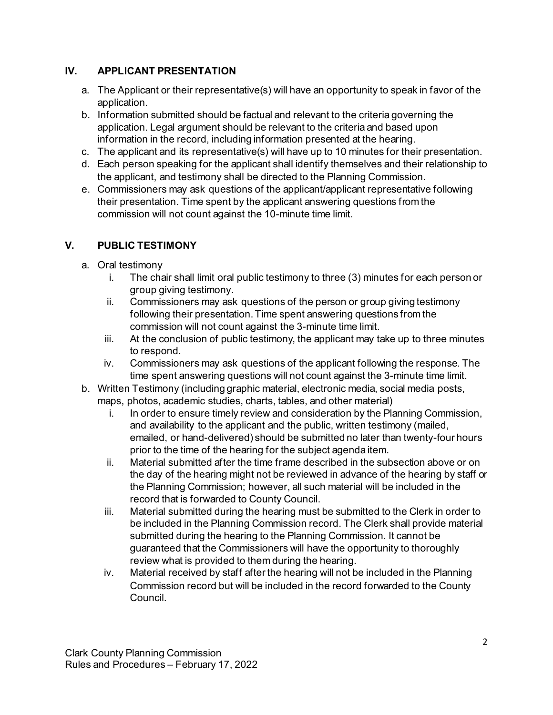# **IV. APPLICANT PRESENTATION**

- a. The Applicant or their representative(s) will have an opportunity to speak in favor of the application.
- b. Information submitted should be factual and relevant to the criteria governing the application. Legal argument should be relevant to the criteria and based upon information in the record, including information presented at the hearing.
- c. The applicant and its representative(s) will have up to 10 minutes for their presentation.
- d. Each person speaking for the applicant shall identify themselves and their relationship to the applicant, and testimony shall be directed to the Planning Commission.
- e. Commissioners may ask questions of the applicant/applicant representative following their presentation. Time spent by the applicant answering questions from the commission will not count against the 10-minute time limit.

# **V. PUBLIC TESTIMONY**

- a. Oral testimony
	- i. The chair shall limit oral public testimony to three (3) minutes for each person or group giving testimony.
	- ii. Commissioners may ask questions of the person or group giving testimony following their presentation. Time spent answering questions from the commission will not count against the 3-minute time limit.
	- iii. At the conclusion of public testimony, the applicant may take up to three minutes to respond.
	- iv. Commissioners may ask questions of the applicant following the response. The time spent answering questions will not count against the 3-minute time limit.
- b. Written Testimony (including graphic material, electronic media, social media posts, maps, photos, academic studies, charts, tables, and other material)
	- i. In order to ensure timely review and consideration by the Planning Commission, and availability to the applicant and the public, written testimony (mailed, emailed, or hand-delivered) should be submitted no later than twenty-four hours prior to the time of the hearing for the subject agenda item.
	- ii. Material submitted after the time frame described in the subsection above or on the day of the hearing might not be reviewed in advance of the hearing by staff or the Planning Commission; however, all such material will be included in the record that is forwarded to County Council.
	- iii. Material submitted during the hearing must be submitted to the Clerk in order to be included in the Planning Commission record. The Clerk shall provide material submitted during the hearing to the Planning Commission. It cannot be guaranteed that the Commissioners will have the opportunity to thoroughly review what is provided to them during the hearing.
	- iv. Material received by staff after the hearing will not be included in the Planning Commission record but will be included in the record forwarded to the County Council.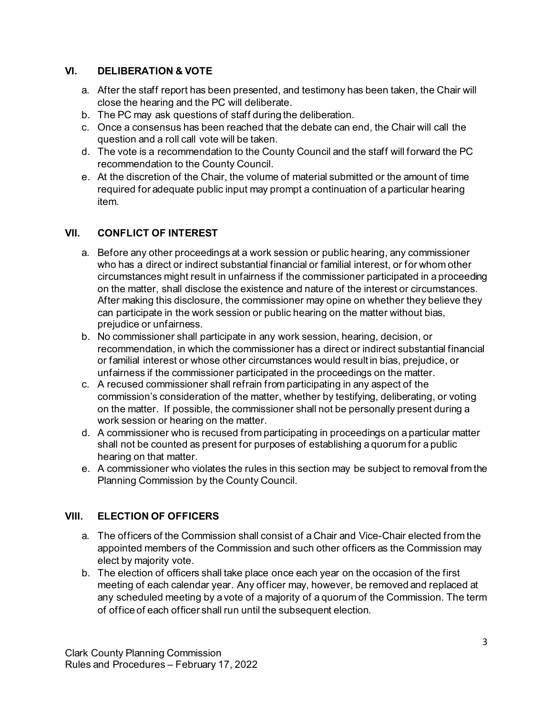#### **VI. DELIBERATION & VOTE**

- a. After the staff report has been presented, and testimony has been taken, the Chair will close the hearing and the PC will deliberate.
- b. The PC may ask questions of staff during the deliberation.
- c. Once a consensus has been reached that the debate can end, the Chair will call the question and a roll call vote will be taken.
- d. The vote is a recommendation to the County Council and the staff will forward the PC recommendation to the County Council.
- e. At the discretion of the Chair, the volume of material submitted or the amount of time required for adequate public input may prompt a continuation of a particular hearing item.

# **VII. CONFLICT OF INTEREST**

- a. Before any other proceedings at a work session or public hearing, any commissioner who has a direct or indirect substantial financial or familial interest, or for whom other circumstances might result in unfairness if the commissioner participated in a proceeding on the matter, shall disclose the existence and nature of the interest or circumstances. After making this disclosure, the commissioner may opine on whether they believe they can participate in the work session or public hearing on the matter without bias, prejudice or unfairness.
- b. No commissioner shall participate in any work session, hearing, decision, or recommendation, in which the commissioner has a direct or indirect substantial financial or familial interest or whose other circumstances would result in bias, prejudice, or unfairness if the commissioner participated in the proceedings on the matter.
- c. A recused commissioner shall refrain from participating in any aspect of the commission's consideration of the matter, whether by testifying, deliberating, or voting on the matter. If possible, the commissioner shall not be personally present during a work session or hearing on the matter.
- d. A commissioner who is recused from participating in proceedings on a particular matter shall not be counted as present for purposes of establishing a quorum for a public hearing on that matter.
- e. A commissioner who violates the rules in this section may be subject to removal from the Planning Commission by the County Council.

# **VIII. ELECTION OF OFFICERS**

- a. The officers of the Commission shall consist of a Chair and Vice-Chair elected from the appointed members of the Commission and such other officers as the Commission may elect by majority vote.
- b. The election of officers shall take place once each year on the occasion of the first meeting of each calendar year. Any officer may, however, be removed and replaced at any scheduled meeting by a vote of a majority of a quorum of the Commission. The term of office of each officer shall run until the subsequent election.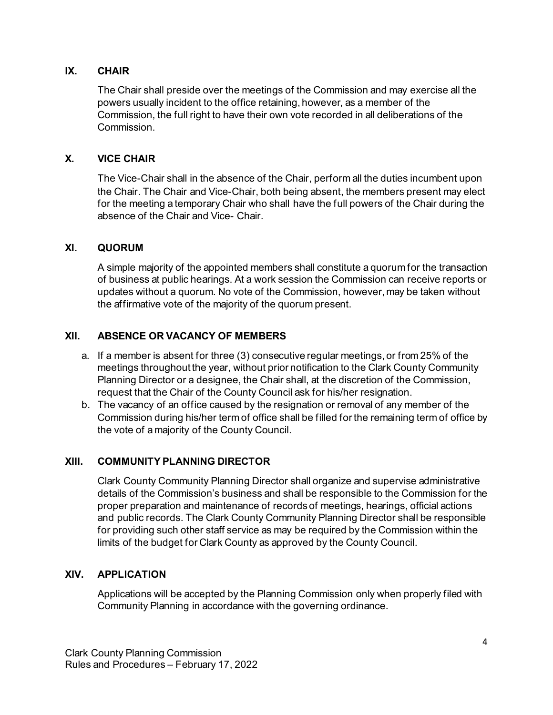#### **IX. CHAIR**

The Chair shall preside over the meetings of the Commission and may exercise all the powers usually incident to the office retaining, however, as a member of the Commission, the full right to have their own vote recorded in all deliberations of the Commission.

### **X. VICE CHAIR**

The Vice-Chair shall in the absence of the Chair, perform all the duties incumbent upon the Chair. The Chair and Vice-Chair, both being absent, the members present may elect for the meeting a temporary Chair who shall have the full powers of the Chair during the absence of the Chair and Vice- Chair.

#### **XI. QUORUM**

A simple majority of the appointed members shall constitute a quorum for the transaction of business at public hearings. At a work session the Commission can receive reports or updates without a quorum. No vote of the Commission, however, may be taken without the affirmative vote of the majority of the quorum present.

### **XII. ABSENCE OR VACANCY OF MEMBERS**

- a. If a member is absent for three (3) consecutive regular meetings, or from 25% of the meetings throughout the year, without prior notification to the Clark County Community Planning Director or a designee, the Chair shall, at the discretion of the Commission, request that the Chair of the County Council ask for his/her resignation.
- b. The vacancy of an office caused by the resignation or removal of any member of the Commission during his/her term of office shall be filled for the remaining term of office by the vote of a majority of the County Council.

# **XIII. COMMUNITY PLANNING DIRECTOR**

Clark County Community Planning Director shall organize and supervise administrative details of the Commission's business and shall be responsible to the Commission for the proper preparation and maintenance of records of meetings, hearings, official actions and public records. The Clark County Community Planning Director shall be responsible for providing such other staff service as may be required by the Commission within the limits of the budget for Clark County as approved by the County Council.

#### **XIV. APPLICATION**

Applications will be accepted by the Planning Commission only when properly filed with Community Planning in accordance with the governing ordinance.